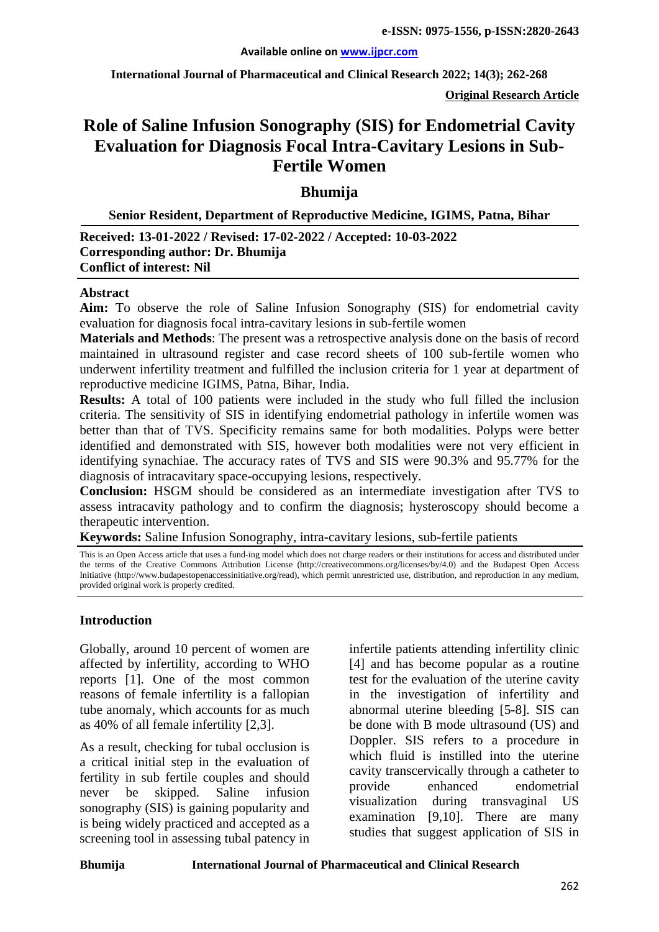**International Journal of Pharmaceutical and Clinical Research 2022; 14(3); 262-268**

**Original Research Article**

# **Role of Saline Infusion Sonography (SIS) for Endometrial Cavity Evaluation for Diagnosis Focal Intra-Cavitary Lesions in Sub-Fertile Women**

**Bhumija**

**Senior Resident, Department of Reproductive Medicine, IGIMS, Patna, Bihar**

**Received: 13-01-2022 / Revised: 17-02-2022 / Accepted: 10-03-2022 Corresponding author: Dr. Bhumija Conflict of interest: Nil**

#### **Abstract**

**Aim:** To observe the role of Saline Infusion Sonography (SIS) for endometrial cavity evaluation for diagnosis focal intra-cavitary lesions in sub-fertile women

**Materials and Methods**: The present was a retrospective analysis done on the basis of record maintained in ultrasound register and case record sheets of 100 sub-fertile women who underwent infertility treatment and fulfilled the inclusion criteria for 1 year at department of reproductive medicine IGIMS, Patna, Bihar, India.

**Results:** A total of 100 patients were included in the study who full filled the inclusion criteria. The sensitivity of SIS in identifying endometrial pathology in infertile women was better than that of TVS. Specificity remains same for both modalities. Polyps were better identified and demonstrated with SIS, however both modalities were not very efficient in identifying synachiae. The accuracy rates of TVS and SIS were 90.3% and 95.77% for the diagnosis of intracavitary space-occupying lesions, respectively.

**Conclusion:** HSGM should be considered as an intermediate investigation after TVS to assess intracavity pathology and to confirm the diagnosis; hysteroscopy should become a therapeutic intervention.

**Keywords:** Saline Infusion Sonography, intra-cavitary lesions, sub-fertile patients

This is an Open Access article that uses a fund-ing model which does not charge readers or their institutions for access and distributed under the terms of the Creative Commons Attribution License (http://creativecommons.org/licenses/by/4.0) and the Budapest Open Access Initiative (http://www.budapestopenaccessinitiative.org/read), which permit unrestricted use, distribution, and reproduction in any medium, provided original work is properly credited.

#### **Introduction**

Globally, around 10 percent of women are affected by infertility, according to WHO reports [1]. One of the most common reasons of female infertility is a fallopian tube anomaly, which accounts for as much as 40% of all female infertility [2,3].

As a result, checking for tubal occlusion is a critical initial step in the evaluation of fertility in sub fertile couples and should never be skipped. Saline infusion sonography (SIS) is gaining popularity and is being widely practiced and accepted as a screening tool in assessing tubal patency in infertile patients attending infertility clinic [4] and has become popular as a routine test for the evaluation of the uterine cavity in the investigation of infertility and abnormal uterine bleeding [5-8]. SIS can be done with B mode ultrasound (US) and Doppler. SIS refers to a procedure in which fluid is instilled into the uterine cavity transcervically through a catheter to provide enhanced endometrial visualization during transvaginal US examination [9,10]. There are many studies that suggest application of SIS in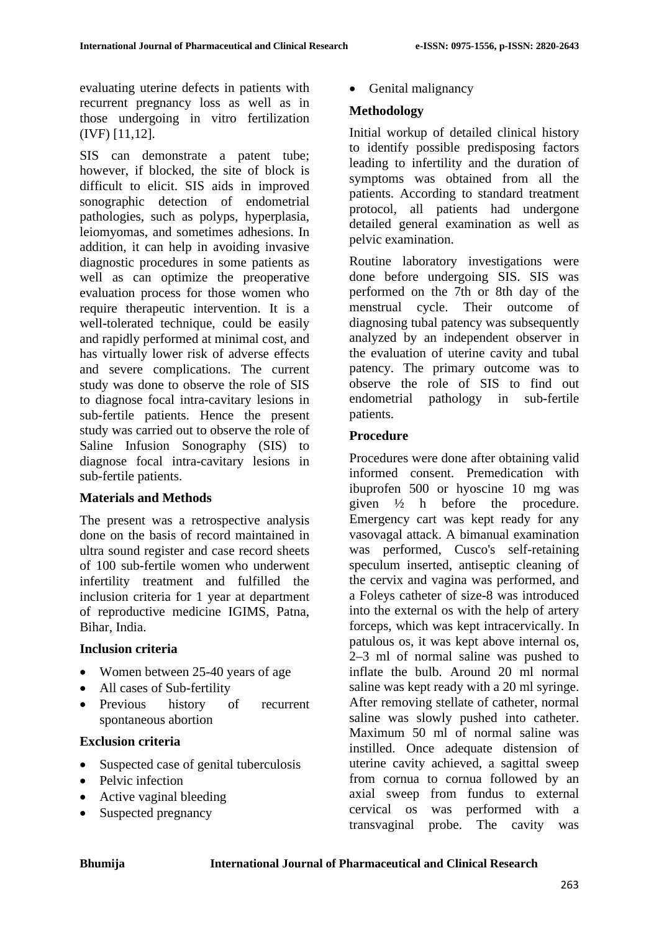evaluating uterine defects in patients with recurrent pregnancy loss as well as in those undergoing in vitro fertilization (IVF) [11,12].

SIS can demonstrate a patent tube; however, if blocked, the site of block is difficult to elicit. SIS aids in improved sonographic detection of endometrial pathologies, such as polyps, hyperplasia, leiomyomas, and sometimes adhesions. In addition, it can help in avoiding invasive diagnostic procedures in some patients as well as can optimize the preoperative evaluation process for those women who require therapeutic intervention. It is a well-tolerated technique, could be easily and rapidly performed at minimal cost, and has virtually lower risk of adverse effects and severe complications. The current study was done to observe the role of SIS to diagnose focal intra-cavitary lesions in sub-fertile patients. Hence the present study was carried out to observe the role of Saline Infusion Sonography (SIS) to diagnose focal intra-cavitary lesions in sub-fertile patients.

#### **Materials and Methods**

The present was a retrospective analysis done on the basis of record maintained in ultra sound register and case record sheets of 100 sub-fertile women who underwent infertility treatment and fulfilled the inclusion criteria for 1 year at department of reproductive medicine IGIMS, Patna, Bihar, India.

#### **Inclusion criteria**

- Women between 25-40 years of age
- All cases of Sub-fertility
- Previous history of recurrent spontaneous abortion

# **Exclusion criteria**

- Suspected case of genital tuberculosis
- Pelvic infection
- Active vaginal bleeding
- Suspected pregnancy

• Genital malignancy

# **Methodology**

Initial workup of detailed clinical history to identify possible predisposing factors leading to infertility and the duration of symptoms was obtained from all the patients. According to standard treatment protocol, all patients had undergone detailed general examination as well as pelvic examination.

Routine laboratory investigations were done before undergoing SIS. SIS was performed on the 7th or 8th day of the menstrual cycle. Their outcome of diagnosing tubal patency was subsequently analyzed by an independent observer in the evaluation of uterine cavity and tubal patency. The primary outcome was to observe the role of SIS to find out endometrial pathology in sub-fertile patients.

# **Procedure**

Procedures were done after obtaining valid informed consent. Premedication with ibuprofen 500 or hyoscine 10 mg was given ½ h before the procedure. Emergency cart was kept ready for any vasovagal attack. A bimanual examination was performed, Cusco's self-retaining speculum inserted, antiseptic cleaning of the cervix and vagina was performed, and a Foleys catheter of size-8 was introduced into the external os with the help of artery forceps, which was kept intracervically. In patulous os, it was kept above internal os, 2–3 ml of normal saline was pushed to inflate the bulb. Around 20 ml normal saline was kept ready with a 20 ml syringe. After removing stellate of catheter, normal saline was slowly pushed into catheter. Maximum 50 ml of normal saline was instilled. Once adequate distension of uterine cavity achieved, a sagittal sweep from cornua to cornua followed by an axial sweep from fundus to external cervical os was performed with a transvaginal probe. The cavity was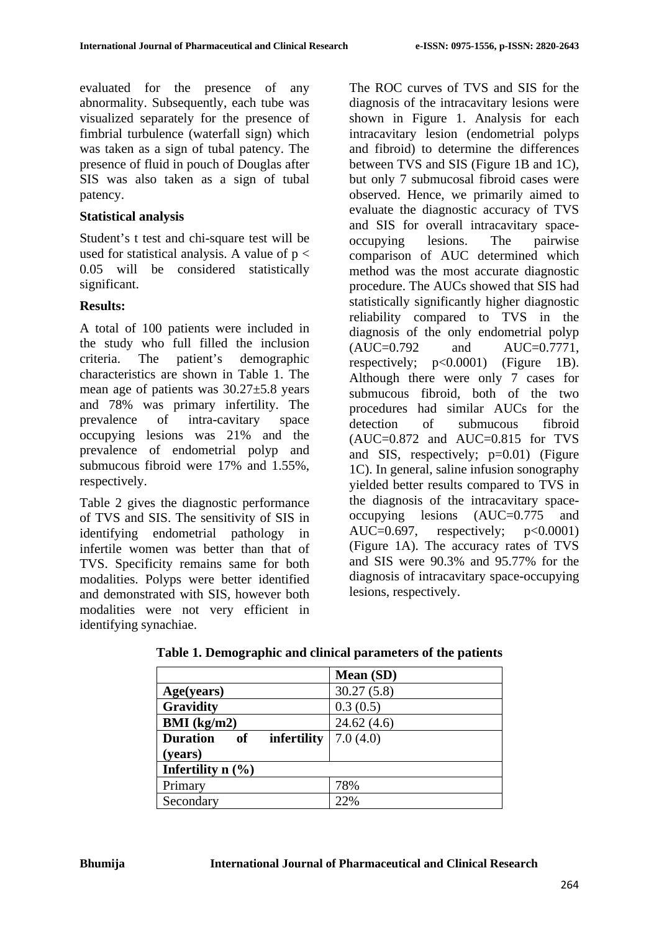evaluated for the presence of any abnormality. Subsequently, each tube was visualized separately for the presence of fimbrial turbulence (waterfall sign) which was taken as a sign of tubal patency. The presence of fluid in pouch of Douglas after SIS was also taken as a sign of tubal patency.

### **Statistical analysis**

Student's t test and chi-square test will be used for statistical analysis. A value of  $p <$ 0.05 will be considered statistically significant.

# **Results:**

A total of 100 patients were included in the study who full filled the inclusion criteria. The patient's demographic characteristics are shown in Table 1. The mean age of patients was 30.27±5.8 years and 78% was primary infertility. The prevalence of intra-cavitary space occupying lesions was 21% and the prevalence of endometrial polyp and submucous fibroid were 17% and 1.55%, respectively.

Table 2 gives the diagnostic performance of TVS and SIS. The sensitivity of SIS in identifying endometrial pathology in infertile women was better than that of TVS. Specificity remains same for both modalities. Polyps were better identified and demonstrated with SIS, however both modalities were not very efficient in identifying synachiae.

The ROC curves of TVS and SIS for the diagnosis of the intracavitary lesions were shown in Figure 1. Analysis for each intracavitary lesion (endometrial polyps and fibroid) to determine the differences between TVS and SIS (Figure 1B and 1C), but only 7 submucosal fibroid cases were observed. Hence, we primarily aimed to evaluate the diagnostic accuracy of TVS and SIS for overall intracavitary spaceoccupying lesions. The pairwise comparison of AUC determined which method was the most accurate diagnostic procedure. The AUCs showed that SIS had statistically significantly higher diagnostic reliability compared to TVS in the diagnosis of the only endometrial polyp  $(AUC=0.792$  and  $AUC=0.7771$ , respectively;  $p<0.0001$  (Figure 1B). Although there were only 7 cases for submucous fibroid, both of the two procedures had similar AUCs for the detection of submucous fibroid  $(AUC=0.872$  and  $AUC=0.815$  for TVS and SIS, respectively; p=0.01) (Figure 1C). In general, saline infusion sonography yielded better results compared to TVS in the diagnosis of the intracavitary spaceoccupying lesions (AUC=0.775 and AUC= $0.697$ , respectively;  $p<0.0001$ ) (Figure 1A). The accuracy rates of TVS and SIS were 90.3% and 95.77% for the diagnosis of intracavitary space-occupying lesions, respectively.

|                                      | Mean (SD)  |  |  |  |
|--------------------------------------|------------|--|--|--|
| Age(years)                           | 30.27(5.8) |  |  |  |
| <b>Gravidity</b>                     | 0.3(0.5)   |  |  |  |
| BMI (kg/m2)                          | 24.62(4.6) |  |  |  |
| <b>Duration</b><br>infertility<br>of | 7.0(4.0)   |  |  |  |
| (years)                              |            |  |  |  |
| Infertility $n$ (%)                  |            |  |  |  |
| Primary                              | 78%        |  |  |  |
| Secondary                            | 22%        |  |  |  |

**Table 1. Demographic and clinical parameters of the patients**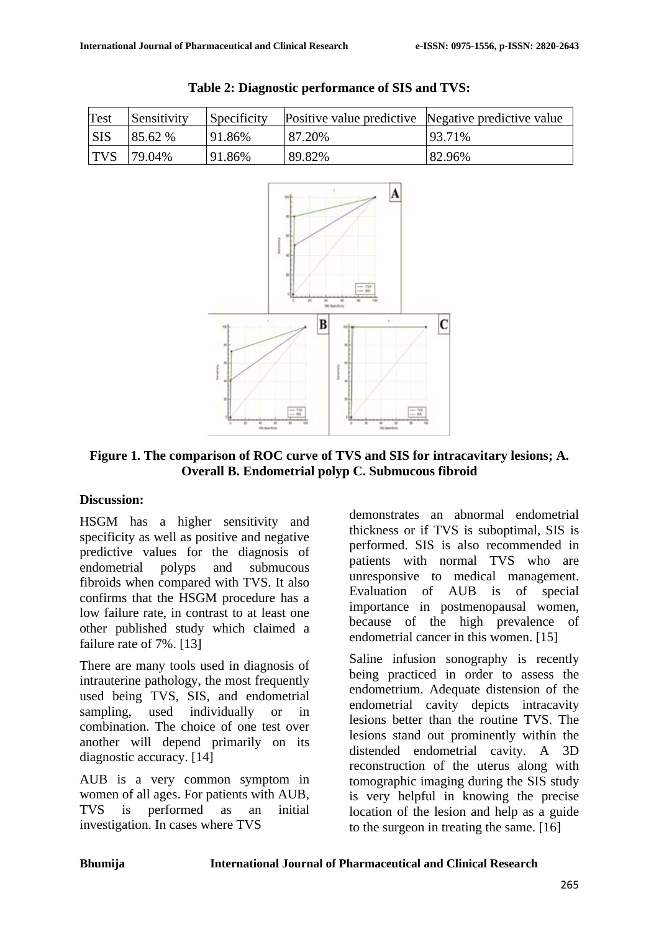| Test       | Sensitivity | Specificity |        | Positive value predictive Negative predictive value |
|------------|-------------|-------------|--------|-----------------------------------------------------|
| <b>SIS</b> | 85.62 %     | 91.86%      | 87.20% | 93.71%                                              |
| <b>TVS</b> | 79.04%      | 91.86%      | 89.82% | 82.96%                                              |





**Figure 1. The comparison of ROC curve of TVS and SIS for intracavitary lesions; A. Overall B. Endometrial polyp C. Submucous fibroid**

#### **Discussion:**

HSGM has a higher sensitivity and specificity as well as positive and negative predictive values for the diagnosis of endometrial polyps and submucous fibroids when compared with TVS. It also confirms that the HSGM procedure has a low failure rate, in contrast to at least one other published study which claimed a failure rate of 7%. [13]

There are many tools used in diagnosis of intrauterine pathology, the most frequently used being TVS, SIS, and endometrial sampling, used individually or in combination. The choice of one test over another will depend primarily on its diagnostic accuracy. [14]

AUB is a very common symptom in women of all ages. For patients with AUB, TVS is performed as an initial investigation. In cases where TVS

demonstrates an abnormal endometrial thickness or if TVS is suboptimal, SIS is performed. SIS is also recommended in patients with normal TVS who are unresponsive to medical management. Evaluation of AUB is of special importance in postmenopausal women, because of the high prevalence of endometrial cancer in this women. [15]

Saline infusion sonography is recently being practiced in order to assess the endometrium. Adequate distension of the endometrial cavity depicts intracavity lesions better than the routine TVS. The lesions stand out prominently within the distended endometrial cavity. A 3D reconstruction of the uterus along with tomographic imaging during the SIS study is very helpful in knowing the precise location of the lesion and help as a guide to the surgeon in treating the same. [16]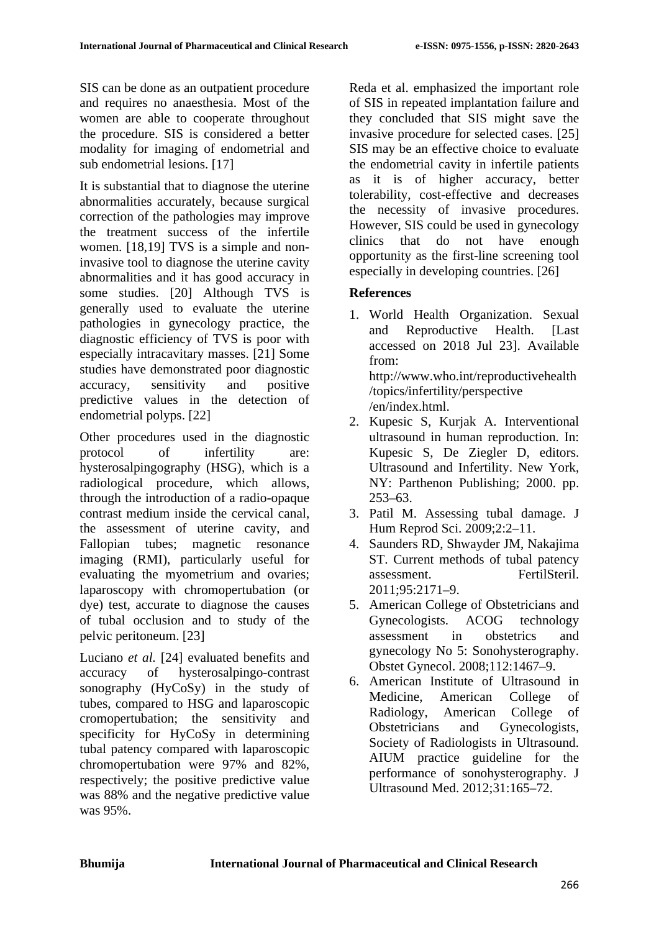SIS can be done as an outpatient procedure and requires no anaesthesia. Most of the women are able to cooperate throughout the procedure. SIS is considered a better modality for imaging of endometrial and sub endometrial lesions. [17]

It is substantial that to diagnose the uterine abnormalities accurately, because surgical correction of the pathologies may improve the treatment success of the infertile women. [18,19] TVS is a simple and noninvasive tool to diagnose the uterine cavity abnormalities and it has good accuracy in some studies. [20] Although TVS is generally used to evaluate the uterine pathologies in gynecology practice, the diagnostic efficiency of TVS is poor with especially intracavitary masses. [21] Some studies have demonstrated poor diagnostic accuracy, sensitivity and positive predictive values in the detection of endometrial polyps. [22]

Other procedures used in the diagnostic protocol of infertility are: hysterosalpingography (HSG), which is a radiological procedure, which allows, through the introduction of a radio-opaque contrast medium inside the cervical canal, the assessment of uterine cavity, and Fallopian tubes; magnetic resonance imaging (RMI), particularly useful for evaluating the myometrium and ovaries; laparoscopy with chromopertubation (or dye) test, accurate to diagnose the causes of tubal occlusion and to study of the pelvic peritoneum. [23]

Luciano *et al.* [24] evaluated benefits and accuracy of hysterosalpingo-contrast sonography (HyCoSy) in the study of tubes, compared to HSG and laparoscopic cromopertubation; the sensitivity and specificity for HyCoSy in determining tubal patency compared with laparoscopic chromopertubation were 97% and 82%, respectively; the positive predictive value was 88% and the negative predictive value was 95%.

Reda et al. emphasized the important role of SIS in repeated implantation failure and they concluded that SIS might save the invasive procedure for selected cases. [25] SIS may be an effective choice to evaluate the endometrial cavity in infertile patients as it is of higher accuracy, better tolerability, cost-effective and decreases the necessity of invasive procedures. However, SIS could be used in gynecology clinics that do not have enough opportunity as the first-line screening tool especially in developing countries. [26]

# **References**

- 1. World Health Organization. Sexual and Reproductive Health. [Last accessed on 2018 Jul 23]. Available from: http://www.who.int/reproductivehealth /topics/infertility/perspective /en/index.html.
- 2. Kupesic S, Kurjak A. Interventional ultrasound in human reproduction. In: Kupesic S, De Ziegler D, editors. Ultrasound and Infertility. New York, NY: Parthenon Publishing; 2000. pp. 253–63.
- 3. Patil M. Assessing tubal damage. J Hum Reprod Sci. 2009;2:2–11.
- 4. Saunders RD, Shwayder JM, Nakajima ST. Current methods of tubal patency assessment. FertilSteril. 2011;95:2171–9.
- 5. American College of Obstetricians and Gynecologists. ACOG technology assessment in obstetrics and gynecology No 5: Sonohysterography. Obstet Gynecol. 2008;112:1467–9.
- 6. American Institute of Ultrasound in Medicine, American College of Radiology, American College of Obstetricians and Gynecologists, Society of Radiologists in Ultrasound. AIUM practice guideline for the performance of sonohysterography. J Ultrasound Med. 2012;31:165–72.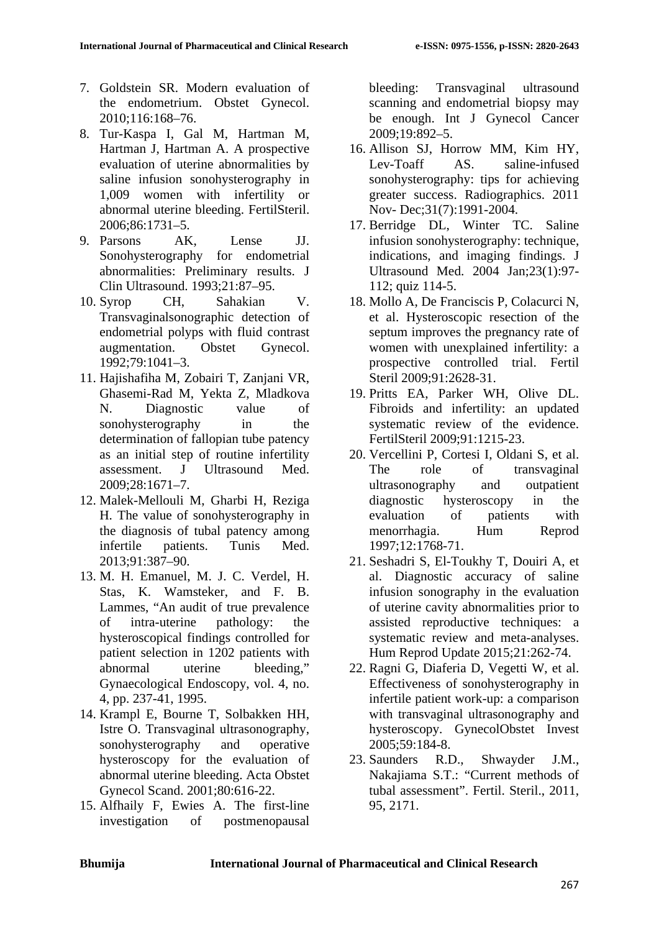- 7. Goldstein SR. Modern evaluation of the endometrium. Obstet Gynecol. 2010;116:168–76.
- 8. Tur-Kaspa I, Gal M, Hartman M, Hartman J, Hartman A. A prospective evaluation of uterine abnormalities by saline infusion sonohysterography in 1,009 women with infertility or abnormal uterine bleeding. FertilSteril. 2006;86:1731–5.
- 9. Parsons AK, Lense JJ. Sonohysterography for endometrial abnormalities: Preliminary results. J Clin Ultrasound. 1993;21:87–95.
- 10. Syrop CH, Sahakian V. Transvaginalsonographic detection of endometrial polyps with fluid contrast augmentation. Obstet Gynecol. 1992;79:1041–3.
- 11. Hajishafiha M, Zobairi T, Zanjani VR, Ghasemi-Rad M, Yekta Z, Mladkova N. Diagnostic value of sonohysterography in the determination of fallopian tube patency as an initial step of routine infertility assessment. J Ultrasound Med. 2009;28:1671–7.
- 12. Malek-Mellouli M, Gharbi H, Reziga H. The value of sonohysterography in the diagnosis of tubal patency among infertile patients. Tunis Med. 2013;91:387–90.
- 13. M. H. Emanuel, M. J. C. Verdel, H. Stas, K. Wamsteker, and F. B. Lammes, "An audit of true prevalence of intra-uterine pathology: the hysteroscopical findings controlled for patient selection in 1202 patients with abnormal uterine bleeding," Gynaecological Endoscopy, vol. 4, no. 4, pp. 237-41, 1995.
- 14. Krampl E, Bourne T, Solbakken HH, Istre O. Transvaginal ultrasonography, sonohysterography and operative hysteroscopy for the evaluation of abnormal uterine bleeding. Acta Obstet Gynecol Scand. 2001;80:616-22.
- 15. Alfhaily F, Ewies A. The first-line investigation of postmenopausal

bleeding: Transvaginal ultrasound scanning and endometrial biopsy may be enough. Int J Gynecol Cancer 2009;19:892–5.

- 16. Allison SJ, Horrow MM, Kim HY, Lev-Toaff AS. saline-infused sonohysterography: tips for achieving greater success. Radiographics. 2011 Nov- Dec;31(7):1991-2004.
- 17. Berridge DL, Winter TC. Saline infusion sonohysterography: technique, indications, and imaging findings. J Ultrasound Med. 2004 Jan;23(1):97- 112; quiz 114-5.
- 18. Mollo A, De Franciscis P, Colacurci N, et al. Hysteroscopic resection of the septum improves the pregnancy rate of women with unexplained infertility: a prospective controlled trial. Fertil Steril 2009;91:2628-31.
- 19. Pritts EA, Parker WH, Olive DL. Fibroids and infertility: an updated systematic review of the evidence. FertilSteril 2009;91:1215-23.
- 20. Vercellini P, Cortesi I, Oldani S, et al. The role of transvaginal ultrasonography and outpatient diagnostic hysteroscopy in the evaluation of patients with menorrhagia. Hum Reprod 1997;12:1768-71.
- 21. Seshadri S, El-Toukhy T, Douiri A, et al. Diagnostic accuracy of saline infusion sonography in the evaluation of uterine cavity abnormalities prior to assisted reproductive techniques: a systematic review and meta-analyses. Hum Reprod Update 2015;21:262-74.
- 22. Ragni G, Diaferia D, Vegetti W, et al. Effectiveness of sonohysterography in infertile patient work-up: a comparison with transvaginal ultrasonography and hysteroscopy. GynecolObstet Invest 2005;59:184-8.
- 23. Saunders R.D., Shwayder J.M., Nakajiama S.T.: "Current methods of tubal assessment". Fertil. Steril., 2011, 95, 2171.